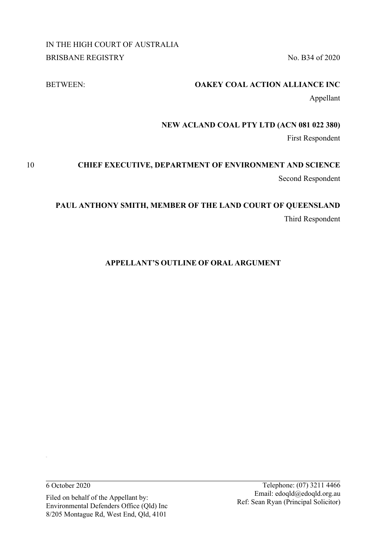IN THE HIGH COURT OF AUSTRALIA BRISBANE REGISTRY No. B34 of 2020

# BETWEEN: **OAKEY COAL ACTION ALLIANCE INC**

Appellant

# **NEW ACLAND COAL PTY LTD (ACN 081 022 380)**

First Respondent

# 10 **CHIEF EXECUTIVE, DEPARTMENT OF ENVIRONMENT AND SCIENCE** Second Respondent

# **PAUL ANTHONY SMITH, MEMBER OF THE LAND COURT OF QUEENSLAND** Third Respondent

# **APPELLANT'S OUTLINE OF ORAL ARGUMENT**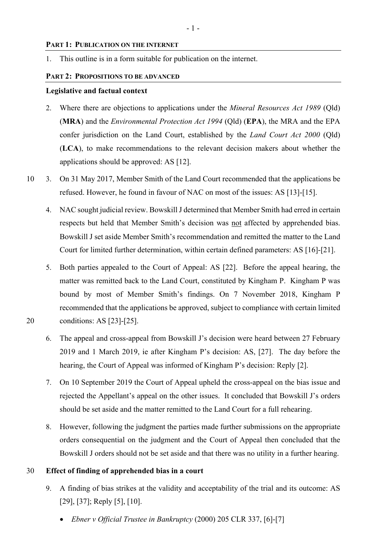# **PART 1: PUBLICATION ON THE INTERNET**

1. This outline is in a form suitable for publication on the internet.

#### **PART 2: PROPOSITIONS TO BE ADVANCED**

#### **Legislative and factual context**

- 2. Where there are objections to applications under the *Mineral Resources Act 1989* (Qld) (**MRA**) and the *Environmental Protection Act 1994* (Qld) (**EPA**), the MRA and the EPA confer jurisdiction on the Land Court, established by the *Land Court Act 2000* (Qld) (**LCA**), to make recommendations to the relevant decision makers about whether the applications should be approved: AS [12].
- 10 3. On 31 May 2017, Member Smith of the Land Court recommended that the applications be refused. However, he found in favour of NAC on most of the issues: AS [13]-[15].
	- 4. NAC sought judicial review. Bowskill J determined that Member Smith had erred in certain respects but held that Member Smith's decision was not affected by apprehended bias. Bowskill J set aside Member Smith's recommendation and remitted the matter to the Land Court for limited further determination, within certain defined parameters: AS [16]-[21].
- 5. Both parties appealed to the Court of Appeal: AS [22]. Before the appeal hearing, the matter was remitted back to the Land Court, constituted by Kingham P. Kingham P was bound by most of Member Smith's findings. On 7 November 2018, Kingham P recommended that the applications be approved, subject to compliance with certain limited 20 conditions: AS [23]-[25].
	- 6. The appeal and cross-appeal from Bowskill J's decision were heard between 27 February 2019 and 1 March 2019, ie after Kingham P's decision: AS, [27]. The day before the hearing, the Court of Appeal was informed of Kingham P's decision: Reply [2].
	- 7. On 10 September 2019 the Court of Appeal upheld the cross-appeal on the bias issue and rejected the Appellant's appeal on the other issues. It concluded that Bowskill J's orders should be set aside and the matter remitted to the Land Court for a full rehearing.
	- 8. However, following the judgment the parties made further submissions on the appropriate orders consequential on the judgment and the Court of Appeal then concluded that the Bowskill J orders should not be set aside and that there was no utility in a further hearing.

#### 30 **Effect of finding of apprehended bias in a court**

- 9. A finding of bias strikes at the validity and acceptability of the trial and its outcome: AS [29], [37]; Reply [5], [10].
	- *Ebner v Official Trustee in Bankruptcy* (2000) 205 CLR 337, [6]-[7]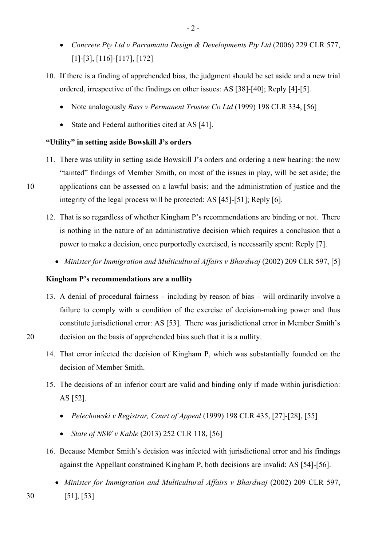- *Concrete Pty Ltd v Parramatta Design & Developments Pty Ltd* (2006) 229 CLR 577, [1]-[3], [116]-[117], [172]
- 10. If there is a finding of apprehended bias, the judgment should be set aside and a new trial ordered, irrespective of the findings on other issues: AS [38]-[40]; Reply [4]-[5].
	- Note analogously *Bass v Permanent Trustee Co Ltd* (1999) 198 CLR 334, [56]
	- State and Federal authorities cited at AS [41].

# **"Utility" in setting aside Bowskill J's orders**

- 11. There was utility in setting aside Bowskill J's orders and ordering a new hearing: the now "tainted" findings of Member Smith, on most of the issues in play, will be set aside; the 10 applications can be assessed on a lawful basis; and the administration of justice and the integrity of the legal process will be protected: AS [45]-[51]; Reply [6].
	- 12. That is so regardless of whether Kingham P's recommendations are binding or not. There is nothing in the nature of an administrative decision which requires a conclusion that a power to make a decision, once purportedly exercised, is necessarily spent: Reply [7].
		- *Minister for Immigration and Multicultural Affairs v Bhardwaj* (2002) 209 CLR 597, [5]

### **Kingham P's recommendations are a nullity**

- 13. A denial of procedural fairness including by reason of bias will ordinarily involve a failure to comply with a condition of the exercise of decision-making power and thus constitute jurisdictional error: AS [53]. There was jurisdictional error in Member Smith's 20 decision on the basis of apprehended bias such that it is a nullity.
	- 14. That error infected the decision of Kingham P, which was substantially founded on the decision of Member Smith.
	- 15. The decisions of an inferior court are valid and binding only if made within jurisdiction: AS [52].
		- *Pelechowski v Registrar, Court of Appeal* (1999) 198 CLR 435, [27]-[28], [55]
		- *State of NSW v Kable* (2013) 252 CLR 118, [56]
	- 16. Because Member Smith's decision was infected with jurisdictional error and his findings against the Appellant constrained Kingham P, both decisions are invalid: AS [54]-[56].
- *Minister for Immigration and Multicultural Affairs v Bhardwaj* (2002) 209 CLR 597, 30 [51], [53]